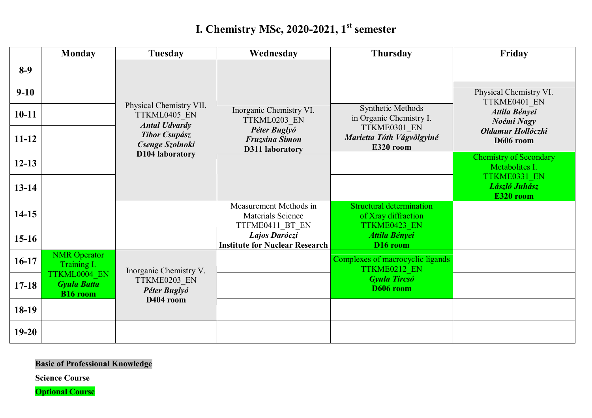## **I. Chemistry MSc, 2020-2021, 1st semester**

|           | <b>Monday</b>                                         | <b>Tuesday</b>                                                  | Wednesday                                                      | <b>Thursday</b>                                                        | Friday                                          |
|-----------|-------------------------------------------------------|-----------------------------------------------------------------|----------------------------------------------------------------|------------------------------------------------------------------------|-------------------------------------------------|
| $8-9$     |                                                       |                                                                 |                                                                |                                                                        |                                                 |
| $9 - 10$  |                                                       |                                                                 |                                                                |                                                                        | Physical Chemistry VI.<br>TTKME0401 EN          |
| $10 - 11$ |                                                       | Physical Chemistry VII.<br>TTKML0405 EN<br><b>Antal Udvardy</b> | Inorganic Chemistry VI.<br>TTKML0203 EN                        | Synthetic Methods<br>in Organic Chemistry I.                           | Attila Bényei<br>Noémi Nagy                     |
| $11 - 12$ |                                                       | <b>Tibor Csupász</b><br>Csenge Szolnoki<br>D104 laboratory      | Péter Buglyó<br><b>Fruzsina Simon</b><br>D311 laboratory       | TTKME0301 EN<br>Marietta Tóth Vágvölgyiné<br>E320 room                 | Oldamur Hollóczki<br>D606 room                  |
| $12 - 13$ |                                                       |                                                                 |                                                                |                                                                        | <b>Chemistry of Secondary</b><br>Metabolites I. |
| $13 - 14$ |                                                       |                                                                 |                                                                |                                                                        | TTKME0331 EN<br>László Juhász<br>E320 room      |
| $14-15$   |                                                       |                                                                 | Measurement Methods in<br>Materials Science<br>TTFME0411 BT EN | <b>Structural determination</b><br>of Xray diffraction<br>TTKME0423 EN |                                                 |
| $15-16$   |                                                       |                                                                 | Lajos Daróczi<br><b>Institute for Nuclear Research</b>         | <b>Attila Bényei</b><br>D <sub>16</sub> room                           |                                                 |
| $16-17$   | <b>NMR</b> Operator<br>Training I.                    | Inorganic Chemistry V.                                          |                                                                | Complexes of macrocyclic ligands<br>TTKME0212 EN                       |                                                 |
| $17 - 18$ | TTKML0004 EN<br><b>Gyula Batta</b><br><b>B16</b> room | TTKME0203 EN<br>Péter Buglyó                                    |                                                                | <b>Gyula Tircsó</b><br>D606 room                                       |                                                 |
| 18-19     |                                                       | D404 room                                                       |                                                                |                                                                        |                                                 |
| $19 - 20$ |                                                       |                                                                 |                                                                |                                                                        |                                                 |

## **Basic of Professional Knowledge**

**Science Course**

**Optional Course**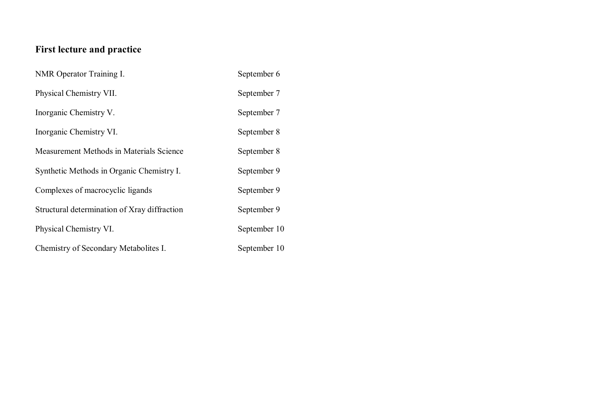## **First lecture and practice**

| NMR Operator Training I.                     | September 6  |
|----------------------------------------------|--------------|
| Physical Chemistry VII.                      | September 7  |
| Inorganic Chemistry V.                       | September 7  |
| Inorganic Chemistry VI.                      | September 8  |
| Measurement Methods in Materials Science     | September 8  |
| Synthetic Methods in Organic Chemistry I.    | September 9  |
| Complexes of macrocyclic ligands             | September 9  |
| Structural determination of Xray diffraction | September 9  |
| Physical Chemistry VI.                       | September 10 |
| Chemistry of Secondary Metabolites I.        | September 10 |